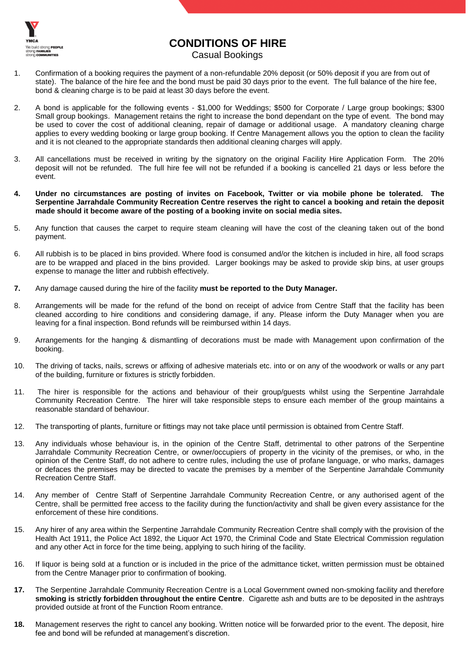

## **CONDITIONS OF HIRE**

Casual Bookings

- 1. Confirmation of a booking requires the payment of a non-refundable 20% deposit (or 50% deposit if you are from out of state). The balance of the hire fee and the bond must be paid 30 days prior to the event. The full balance of the hire fee, bond & cleaning charge is to be paid at least 30 days before the event.
- 2. A bond is applicable for the following events \$1,000 for Weddings; \$500 for Corporate / Large group bookings; \$300 Small group bookings. Management retains the right to increase the bond dependant on the type of event. The bond may be used to cover the cost of additional cleaning, repair of damage or additional usage. A mandatory cleaning charge applies to every wedding booking or large group booking. If Centre Management allows you the option to clean the facility and it is not cleaned to the appropriate standards then additional cleaning charges will apply.
- 3. All cancellations must be received in writing by the signatory on the original Facility Hire Application Form. The 20% deposit will not be refunded. The full hire fee will not be refunded if a booking is cancelled 21 days or less before the event.
- **4. Under no circumstances are posting of invites on Facebook, Twitter or via mobile phone be tolerated. The Serpentine Jarrahdale Community Recreation Centre reserves the right to cancel a booking and retain the deposit made should it become aware of the posting of a booking invite on social media sites.**
- 5. Any function that causes the carpet to require steam cleaning will have the cost of the cleaning taken out of the bond payment.
- 6. All rubbish is to be placed in bins provided. Where food is consumed and/or the kitchen is included in hire, all food scraps are to be wrapped and placed in the bins provided. Larger bookings may be asked to provide skip bins, at user groups expense to manage the litter and rubbish effectively.
- **7.** Any damage caused during the hire of the facility **must be reported to the Duty Manager.**
- 8. Arrangements will be made for the refund of the bond on receipt of advice from Centre Staff that the facility has been cleaned according to hire conditions and considering damage, if any. Please inform the Duty Manager when you are leaving for a final inspection. Bond refunds will be reimbursed within 14 days.
- 9. Arrangements for the hanging & dismantling of decorations must be made with Management upon confirmation of the booking.
- 10. The driving of tacks, nails, screws or affixing of adhesive materials etc. into or on any of the woodwork or walls or any part of the building, furniture or fixtures is strictly forbidden.
- 11. The hirer is responsible for the actions and behaviour of their group/guests whilst using the Serpentine Jarrahdale Community Recreation Centre. The hirer will take responsible steps to ensure each member of the group maintains a reasonable standard of behaviour.
- 12. The transporting of plants, furniture or fittings may not take place until permission is obtained from Centre Staff.
- 13. Any individuals whose behaviour is, in the opinion of the Centre Staff, detrimental to other patrons of the Serpentine Jarrahdale Community Recreation Centre, or owner/occupiers of property in the vicinity of the premises, or who, in the opinion of the Centre Staff, do not adhere to centre rules, including the use of profane language, or who marks, damages or defaces the premises may be directed to vacate the premises by a member of the Serpentine Jarrahdale Community Recreation Centre Staff.
- 14. Any member of Centre Staff of Serpentine Jarrahdale Community Recreation Centre, or any authorised agent of the Centre, shall be permitted free access to the facility during the function/activity and shall be given every assistance for the enforcement of these hire conditions.
- 15. Any hirer of any area within the Serpentine Jarrahdale Community Recreation Centre shall comply with the provision of the Health Act 1911, the Police Act 1892, the Liquor Act 1970, the Criminal Code and State Electrical Commission regulation and any other Act in force for the time being, applying to such hiring of the facility.
- 16. If liquor is being sold at a function or is included in the price of the admittance ticket, written permission must be obtained from the Centre Manager prior to confirmation of booking.
- **17.** The Serpentine Jarrahdale Community Recreation Centre is a Local Government owned non-smoking facility and therefore **smoking is strictly forbidden throughout the entire Centre**. Cigarette ash and butts are to be deposited in the ashtrays provided outside at front of the Function Room entrance.
- **18.** Management reserves the right to cancel any booking. Written notice will be forwarded prior to the event. The deposit, hire fee and bond will be refunded at management's discretion.